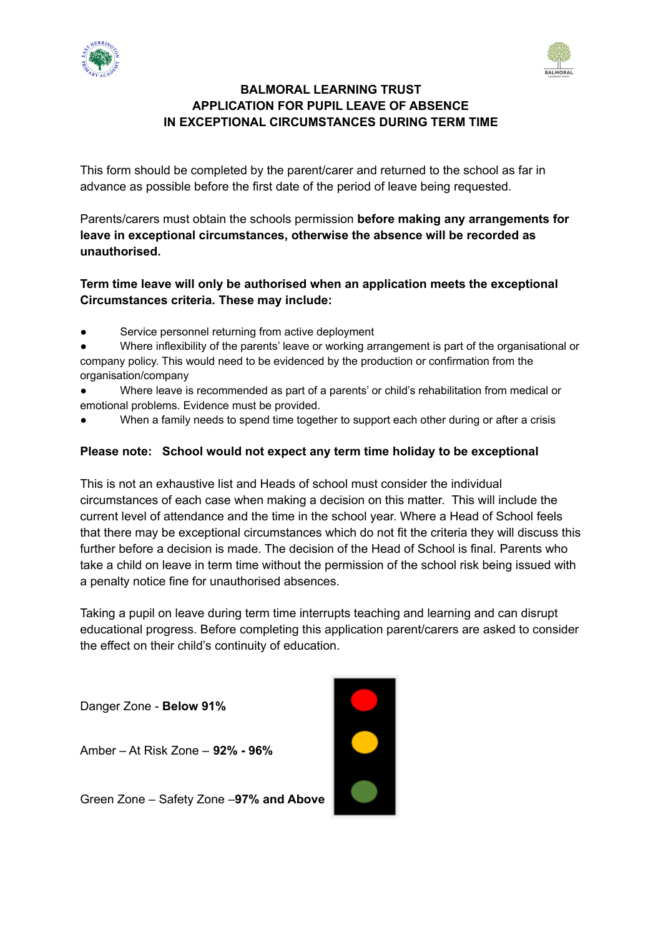



## **BALMORAL LEARNING TRUST APPLICATION FOR PUPIL LEAVE OF ABSENCE IN EXCEPTIONAL CIRCUMSTANCES DURING TERM TIME**

This form should be completed by the parent/carer and returned to the school as far in advance as possible before the first date of the period of leave being requested.

Parents/carers must obtain the schools permission **before making any arrangements for leave in exceptional circumstances, otherwise the absence will be recorded as unauthorised.**

## **Term time leave will only be authorised when an application meets the exceptional Circumstances criteria. These may include:**

● Service personnel returning from active deployment

Where inflexibility of the parents' leave or working arrangement is part of the organisational or company policy. This would need to be evidenced by the production or confirmation from the organisation/company

- Where leave is recommended as part of a parents' or child's rehabilitation from medical or emotional problems. Evidence must be provided.
- When a family needs to spend time together to support each other during or after a crisis

## **Please note: School would not expect any term time holiday to be exceptional**

This is not an exhaustive list and Heads of school must consider the individual circumstances of each case when making a decision on this matter. This will include the current level of attendance and the time in the school year. Where a Head of School feels that there may be exceptional circumstances which do not fit the criteria they will discuss this further before a decision is made. The decision of the Head of School is final. Parents who take a child on leave in term time without the permission of the school risk being issued with a penalty notice fine for unauthorised absences.

Taking a pupil on leave during term time interrupts teaching and learning and can disrupt educational progress. Before completing this application parent/carers are asked to consider the effect on their child's continuity of education.

Danger Zone - **Below 91%**

Amber – At Risk Zone – **92% - 96%**

Green Zone – Safety Zone –**97% and Above**